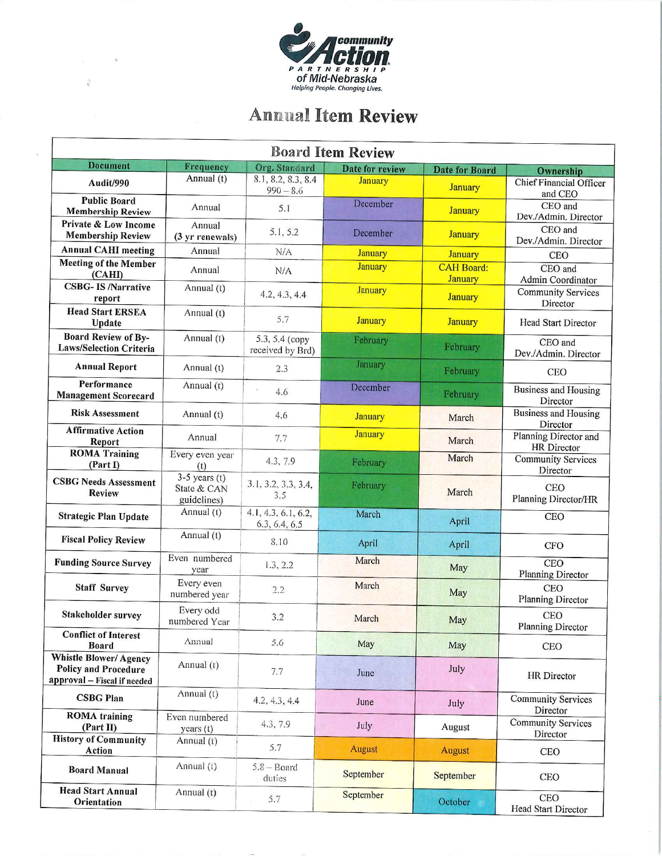

-is

 $\hat{k}$ 

## Anmial Item Review

| <b>Board Item Review</b>                                                                   |                                               |                                      |                 |                                     |                                                   |  |
|--------------------------------------------------------------------------------------------|-----------------------------------------------|--------------------------------------|-----------------|-------------------------------------|---------------------------------------------------|--|
| <b>Document</b>                                                                            | Frequency                                     | Org. Standard                        | Date for review | <b>Date for Board</b>               | Ownership                                         |  |
| Audit/990                                                                                  | Annual (t)                                    | 8.1, 8.2, 8.3, 8.4<br>$990 - 8.6$    | <b>January</b>  | <b>January</b>                      | <b>Chief Financial Officer</b><br>and CEO         |  |
| <b>Public Board</b><br><b>Membership Review</b>                                            | Annual                                        | 5.1                                  | December        | <b>January</b>                      | CEO and<br>Dev./Admin. Director                   |  |
| Private & Low Income<br><b>Membership Review</b>                                           | Annual<br>(3 yr renewals)                     | 5.1, 5.2                             | December        | <b>January</b>                      | CEO and<br>Dev./Admin. Director                   |  |
| <b>Annual CAHI meeting</b>                                                                 | Annual                                        | N/A                                  | <b>January</b>  | <b>January</b>                      | <b>CEO</b>                                        |  |
| <b>Meeting of the Member</b><br>(CAHI)                                                     | Annual                                        | N/A                                  | <b>January</b>  | <b>CAH Board:</b><br><b>January</b> | CEO and<br>Admin Coordinator                      |  |
| <b>CSBG-IS/Narrative</b><br>report                                                         | Annual (t)                                    | 4.2, 4.3, 4.4                        | <b>January</b>  | <b>January</b>                      | <b>Community Services</b><br>Director             |  |
| <b>Head Start ERSEA</b><br>Update                                                          | Annual (t)                                    | 5.7                                  | <b>January</b>  | <b>January</b>                      | <b>Head Start Director</b>                        |  |
| <b>Board Review of By-</b><br><b>Laws/Selection Criteria</b>                               | Annual (t)                                    | 5.3, 5.4 (copy<br>received by Brd)   | February        | February                            | CEO and<br>Dev./Admin. Director                   |  |
| <b>Annual Report</b>                                                                       | Annual (t)                                    | 2.3                                  | January         | February                            | <b>CEO</b>                                        |  |
| Performance<br><b>Management Scorecard</b>                                                 | Annual (t)                                    | 4.6                                  | December        | February                            | <b>Business and Housing</b><br>Director           |  |
| <b>Risk Assessment</b>                                                                     | Annual (t)                                    | 4.6                                  | <b>January</b>  | March                               | <b>Business and Housing</b><br>Director           |  |
| <b>Affirmative Action</b><br>Report                                                        | Annual                                        | 7.7                                  | <b>January</b>  | March                               | Planning Director and<br>HR Director              |  |
| <b>ROMA Training</b><br>(Part I)                                                           | Every even year<br>(t)                        | 4.3, 7.9                             | February        | March                               | <b>Community Services</b><br>Director             |  |
| <b>CSBG Needs Assessment</b><br><b>Review</b>                                              | $3-5$ years (t)<br>State & CAN<br>guidelines) | 3.1, 3.2, 3.3, 3.4,<br>3.5           | February        | March                               | <b>CEO</b><br>Planning Director/HR                |  |
| <b>Strategic Plan Update</b>                                                               | Annual (t)                                    | 4.1, 4.3, 6.1, 6.2,<br>6.3, 6.4, 6.5 | March           | April                               | <b>CEO</b>                                        |  |
| <b>Fiscal Policy Review</b>                                                                | Annual (t)                                    | 8.10                                 | April           | April                               | <b>CFO</b>                                        |  |
| <b>Funding Source Survey</b>                                                               | Even numbered<br>year                         | 1.3, 2.2                             | March           | May                                 | <b>CEO</b><br><b>Planning Director</b>            |  |
| <b>Staff Survey</b>                                                                        | Every even<br>numbered year                   | 2.2                                  | March           | May                                 | <b>CEO</b><br><b>Planning Director</b>            |  |
| Stakeholder survey                                                                         | Every odd<br>numbered Year                    | 3.2                                  | March           | May                                 | <b>CEO</b><br><b>Planning Director</b>            |  |
| <b>Conflict of Interest</b><br><b>Board</b>                                                | Annual                                        | 5.6                                  | May             | May                                 | <b>CEO</b>                                        |  |
| <b>Whistle Blower/Agency</b><br><b>Policy and Procedure</b><br>approval - Fiscal if needed | Annual (t)                                    | 7.7                                  | June            | July                                | HR Director                                       |  |
| <b>CSBG Plan</b>                                                                           | Annual (t)                                    | 4.2, 4.3, 4.4                        | June            | July                                | <b>Community Services</b>                         |  |
| <b>ROMA</b> training<br>(Part II)                                                          | Even numbered<br>years (t)                    | 4.3, 7.9                             | July            | August                              | Director<br><b>Community Services</b><br>Director |  |
| <b>History of Community</b><br>Action                                                      | Annual $(t)$                                  | 5.7                                  | <b>August</b>   | <b>August</b>                       | <b>CEO</b>                                        |  |
| <b>Board Manual</b>                                                                        | Annual (t)                                    | $5.8 - Board$<br>duties              | September       | September                           | <b>CEO</b>                                        |  |
| <b>Head Start Annual</b><br>Orientation                                                    | Annual (t)                                    | 5.7                                  | September       | October                             | <b>CEO</b><br>Head Start Director                 |  |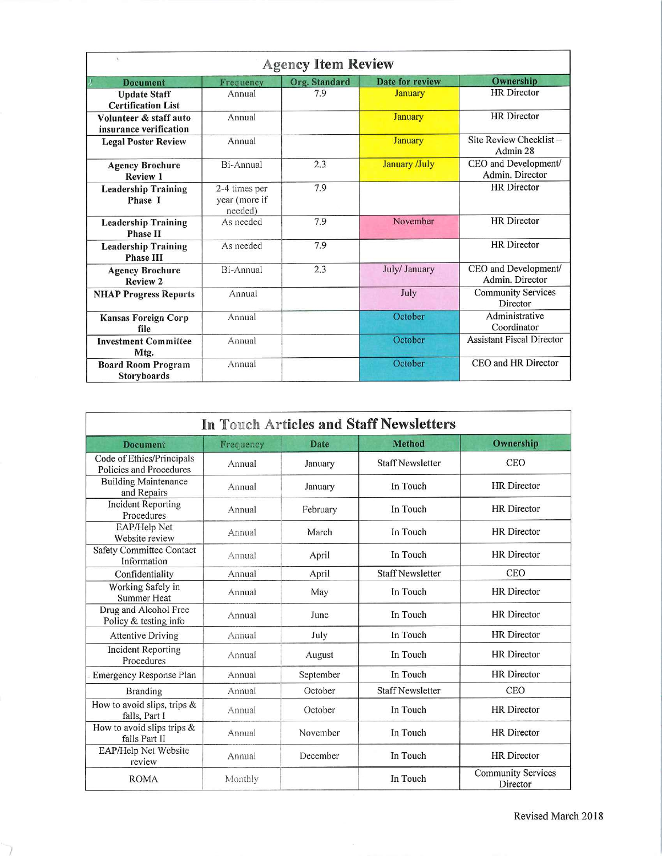| x<br><b>Agency Item Review</b>                   |                                           |               |                        |                                         |  |
|--------------------------------------------------|-------------------------------------------|---------------|------------------------|-----------------------------------------|--|
| Z.<br><b>Document</b>                            | Frequency                                 | Org. Standard | <b>Date for review</b> | Ownership                               |  |
| <b>Update Staff</b><br><b>Certification List</b> | Annual                                    | 7.9           | <b>January</b>         | <b>HR</b> Director                      |  |
| Volunteer & staff auto<br>insurance verification | Annual                                    |               | <b>January</b>         | <b>HR</b> Director                      |  |
| <b>Legal Poster Review</b>                       | Annual                                    |               | <b>January</b>         | Site Review Checklist-<br>Admin 28      |  |
| <b>Agency Brochure</b><br><b>Review 1</b>        | Bi-Annual                                 | 2.3           | January /July          | CEO and Development/<br>Admin. Director |  |
| <b>Leadership Training</b><br>Phase I            | 2-4 times per<br>year (more if<br>needed) | 7.9           |                        | <b>HR</b> Director                      |  |
| <b>Leadership Training</b><br><b>Phase II</b>    | As needed                                 | 7.9           | November               | <b>HR</b> Director                      |  |
| <b>Leadership Training</b><br><b>Phase III</b>   | As needed                                 | 7.9           |                        | <b>HR</b> Director                      |  |
| <b>Agency Brochure</b><br><b>Review 2</b>        | Bi-Annual                                 | 2.3           | July/ January          | CEO and Development/<br>Admin. Director |  |
| <b>NHAP Progress Reports</b>                     | Annual                                    |               | July                   | <b>Community Services</b><br>Director   |  |
| Kansas Foreign Corp<br>file                      | Annual                                    |               | October                | Administrative<br>Coordinator           |  |
| <b>Investment Committee</b><br>Mtg.              | Annual                                    |               | October                | <b>Assistant Fiscal Director</b>        |  |
| <b>Board Room Program</b><br><b>Storyboards</b>  | Annual                                    |               | October                | CEO and HR Director                     |  |

| In Touch Articles and Staff Newsletters              |           |             |                         |                                       |  |
|------------------------------------------------------|-----------|-------------|-------------------------|---------------------------------------|--|
| Document                                             | Frequency | <b>Date</b> | <b>Method</b>           | Ownership                             |  |
| Code of Ethics/Principals<br>Policies and Procedures | Annual    | January     | <b>Staff Newsletter</b> | <b>CEO</b>                            |  |
| <b>Building Maintenance</b><br>and Repairs           | Annual    | January     | In Touch                | <b>HR</b> Director                    |  |
| <b>Incident Reporting</b><br>Procedures              | Annual    | February    | In Touch                | <b>HR</b> Director                    |  |
| EAP/Help Net<br>Website review                       | Annual    | March       | In Touch                | <b>HR</b> Director                    |  |
| <b>Safety Committee Contact</b><br>Information       | Annual    | April       | In Touch                | <b>HR</b> Director                    |  |
| Confidentiality                                      | Annual    | April       | <b>Staff Newsletter</b> | CEO                                   |  |
| Working Safely in<br><b>Summer Heat</b>              | Annual    | May         | In Touch                | <b>HR</b> Director                    |  |
| Drug and Alcohol Free<br>Policy & testing info       | Annual    | June        | In Touch                | <b>HR</b> Director                    |  |
| <b>Attentive Driving</b>                             | Annual    | July        | In Touch                | <b>HR</b> Director                    |  |
| <b>Incident Reporting</b><br>Procedures              | Annual    | August      | In Touch                | <b>HR</b> Director                    |  |
| Emergency Response Plan                              | Annual    | September   | In Touch                | <b>HR</b> Director                    |  |
| Branding                                             | Annual    | October     | <b>Staff Newsletter</b> | <b>CEO</b>                            |  |
| How to avoid slips, trips &<br>falls, Part I         | Annual    | October     | In Touch                | <b>HR</b> Director                    |  |
| How to avoid slips trips &<br>falls Part II          | Annual    | November    | In Touch                | <b>HR</b> Director                    |  |
| EAP/Help Net Website<br>review                       | Annual    | December    | In Touch                | <b>HR</b> Director                    |  |
| <b>ROMA</b>                                          | Monthly   |             | In Touch                | <b>Community Services</b><br>Director |  |

 $\overline{\phantom{a}}$